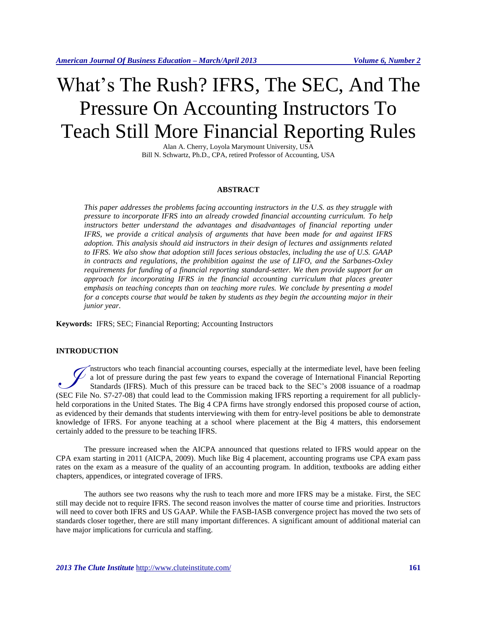# What's The Rush? IFRS, The SEC, And The Pressure On Accounting Instructors To Teach Still More Financial Reporting Rules

Alan A. Cherry, Loyola Marymount University, USA Bill N. Schwartz, Ph.D., CPA, retired Professor of Accounting, USA

#### **ABSTRACT**

*This paper addresses the problems facing accounting instructors in the U.S. as they struggle with pressure to incorporate IFRS into an already crowded financial accounting curriculum. To help instructors better understand the advantages and disadvantages of financial reporting under IFRS, we provide a critical analysis of arguments that have been made for and against IFRS adoption. This analysis should aid instructors in their design of lectures and assignments related to IFRS. We also show that adoption still faces serious obstacles, including the use of U.S. GAAP in contracts and regulations, the prohibition against the use of LIFO, and the Sarbanes-Oxley requirements for funding of a financial reporting standard-setter. We then provide support for an approach for incorporating IFRS in the financial accounting curriculum that places greater emphasis on teaching concepts than on teaching more rules. We conclude by presenting a model for a concepts course that would be taken by students as they begin the accounting major in their junior year.* 

**Keywords:** IFRS; SEC; Financial Reporting; Accounting Instructors

# **INTRODUCTION**

nstructors who teach financial accounting courses, especially at the intermediate level, have been feeling  $\mathcal{V}$  a lot of pressure during the past few years to expand the coverage of International Financial Reporting Standards (IFRS). Much of this pressure can be traced back to the SEC's 2008 issuance of a roadmap The Standards (IFRS). Much of this pressure can be traced back to the SEC's 2008 issuance of a roadmap (SEC File No. S7-27-08) that could lead to the Commission making IFRS reporting a requirement for all publiclyheld corporations in the United States. The Big 4 CPA firms have strongly endorsed this proposed course of action, as evidenced by their demands that students interviewing with them for entry-level positions be able to demonstrate knowledge of IFRS. For anyone teaching at a school where placement at the Big 4 matters, this endorsement certainly added to the pressure to be teaching IFRS.

The pressure increased when the AICPA announced that questions related to IFRS would appear on the CPA exam starting in 2011 (AICPA, 2009). Much like Big 4 placement, accounting programs use CPA exam pass rates on the exam as a measure of the quality of an accounting program. In addition, textbooks are adding either chapters, appendices, or integrated coverage of IFRS.

The authors see two reasons why the rush to teach more and more IFRS may be a mistake. First, the SEC still may decide not to require IFRS. The second reason involves the matter of course time and priorities. Instructors will need to cover both IFRS and US GAAP. While the FASB-IASB convergence project has moved the two sets of standards closer together, there are still many important differences. A significant amount of additional material can have major implications for curricula and staffing.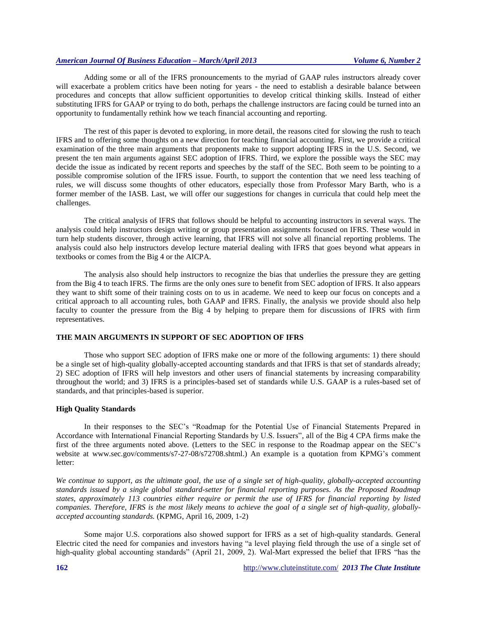Adding some or all of the IFRS pronouncements to the myriad of GAAP rules instructors already cover will exacerbate a problem critics have been noting for years - the need to establish a desirable balance between procedures and concepts that allow sufficient opportunities to develop critical thinking skills. Instead of either substituting IFRS for GAAP or trying to do both, perhaps the challenge instructors are facing could be turned into an opportunity to fundamentally rethink how we teach financial accounting and reporting.

The rest of this paper is devoted to exploring, in more detail, the reasons cited for slowing the rush to teach IFRS and to offering some thoughts on a new direction for teaching financial accounting. First, we provide a critical examination of the three main arguments that proponents make to support adopting IFRS in the U.S. Second, we present the ten main arguments against SEC adoption of IFRS. Third, we explore the possible ways the SEC may decide the issue as indicated by recent reports and speeches by the staff of the SEC. Both seem to be pointing to a possible compromise solution of the IFRS issue. Fourth, to support the contention that we need less teaching of rules, we will discuss some thoughts of other educators, especially those from Professor Mary Barth, who is a former member of the IASB. Last, we will offer our suggestions for changes in curricula that could help meet the challenges.

The critical analysis of IFRS that follows should be helpful to accounting instructors in several ways. The analysis could help instructors design writing or group presentation assignments focused on IFRS. These would in turn help students discover, through active learning, that IFRS will not solve all financial reporting problems. The analysis could also help instructors develop lecture material dealing with IFRS that goes beyond what appears in textbooks or comes from the Big 4 or the AICPA.

The analysis also should help instructors to recognize the bias that underlies the pressure they are getting from the Big 4 to teach IFRS. The firms are the only ones sure to benefit from SEC adoption of IFRS. It also appears they want to shift some of their training costs on to us in academe. We need to keep our focus on concepts and a critical approach to all accounting rules, both GAAP and IFRS. Finally, the analysis we provide should also help faculty to counter the pressure from the Big 4 by helping to prepare them for discussions of IFRS with firm representatives.

#### **THE MAIN ARGUMENTS IN SUPPORT OF SEC ADOPTION OF IFRS**

Those who support SEC adoption of IFRS make one or more of the following arguments: 1) there should be a single set of high-quality globally-accepted accounting standards and that IFRS is that set of standards already; 2) SEC adoption of IFRS will help investors and other users of financial statements by increasing comparability throughout the world; and 3) IFRS is a principles-based set of standards while U.S. GAAP is a rules-based set of standards, and that principles-based is superior.

#### **High Quality Standards**

In their responses to the SEC's "Roadmap for the Potential Use of Financial Statements Prepared in Accordance with International Financial Reporting Standards by U.S. Issuers", all of the Big 4 CPA firms make the first of the three arguments noted above. (Letters to the SEC in response to the Roadmap appear on the SEC's website at www.sec.gov/comments/s7-27-08/s72708.shtml.) An example is a quotation from KPMG's comment letter:

*We continue to support, as the ultimate goal, the use of a single set of high-quality, globally-accepted accounting standards issued by a single global standard-setter for financial reporting purposes. As the Proposed Roadmap states, approximately 113 countries either require or permit the use of IFRS for financial reporting by listed companies. Therefore, IFRS is the most likely means to achieve the goal of a single set of high-quality, globallyaccepted accounting standards.* (KPMG, April 16, 2009, 1-2)

Some major U.S. corporations also showed support for IFRS as a set of high-quality standards. General Electric cited the need for companies and investors having "a level playing field through the use of a single set of high-quality global accounting standards" (April 21, 2009, 2). Wal-Mart expressed the belief that IFRS "has the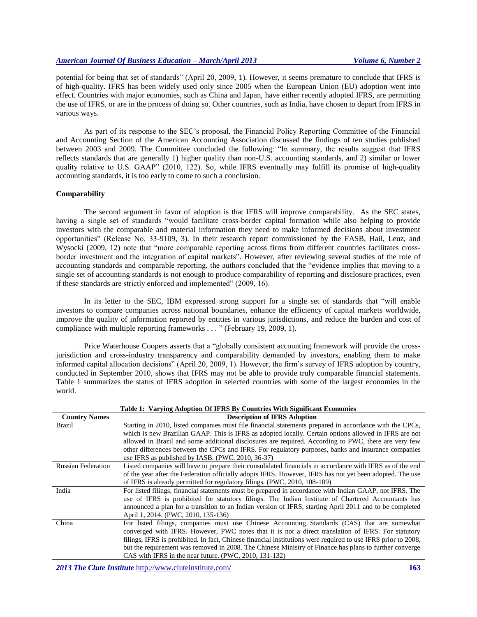potential for being that set of standards" (April 20, 2009, 1). However, it seems premature to conclude that IFRS is of high-quality. IFRS has been widely used only since 2005 when the European Union (EU) adoption went into effect. Countries with major economies, such as China and Japan, have either recently adopted IFRS, are permitting the use of IFRS, or are in the process of doing so. Other countries, such as India, have chosen to depart from IFRS in various ways.

As part of its response to the SEC's proposal, the Financial Policy Reporting Committee of the Financial and Accounting Section of the American Accounting Association discussed the findings of ten studies published between 2003 and 2009. The Committee concluded the following: "In summary, the results suggest that IFRS reflects standards that are generally 1) higher quality than non-U.S*.* accounting standards, and 2) similar or lower quality relative to U.S. GAAP" (2010, 122). So, while IFRS eventually may fulfill its promise of high-quality accounting standards, it is too early to come to such a conclusion.

#### **Comparability**

The second argument in favor of adoption is that IFRS will improve comparability. As the SEC states, having a single set of standards "would facilitate cross-border capital formation while also helping to provide investors with the comparable and material information they need to make informed decisions about investment opportunities" (Release No. 33-9109, 3). In their research report commissioned by the FASB, Hail, Leuz, and Wysocki (2009, 12) note that "more comparable reporting across firms from different countries facilitates crossborder investment and the integration of capital markets". However, after reviewing several studies of the role of accounting standards and comparable reporting, the authors concluded that the "evidence implies that moving to a single set of accounting standards is not enough to produce comparability of reporting and disclosure practices, even if these standards are strictly enforced and implemented" (2009, 16).

In its letter to the SEC, IBM expressed strong support for a single set of standards that "will enable investors to compare companies across national boundaries, enhance the efficiency of capital markets worldwide, improve the quality of information reported by entities in various jurisdictions, and reduce the burden and cost of compliance with multiple reporting frameworks . . . " (February 19, 2009, 1).

Price Waterhouse Coopers asserts that a "globally consistent accounting framework will provide the crossjurisdiction and cross-industry transparency and comparability demanded by investors, enabling them to make informed capital allocation decisions" (April 20, 2009, 1). However, the firm's survey of IFRS adoption by country, conducted in September 2010, shows that IFRS may not be able to provide truly comparable financial statements. Table 1 summarizes the status of IFRS adoption in selected countries with some of the largest economies in the world.

| <b>Country Names</b>      | <b>Description of IFRS Adoption</b>                                                                           |  |  |  |  |
|---------------------------|---------------------------------------------------------------------------------------------------------------|--|--|--|--|
| Brazil                    | Starting in 2010, listed companies must file financial statements prepared in accordance with the CPCs,       |  |  |  |  |
|                           | which is new Brazilian GAAP. This is IFRS as adopted locally. Certain options allowed in IFRS are not         |  |  |  |  |
|                           | allowed in Brazil and some additional disclosures are required. According to PWC, there are very few          |  |  |  |  |
|                           | other differences between the CPCs and IFRS. For regulatory purposes, banks and insurance companies           |  |  |  |  |
|                           | use IFRS as published by IASB. (PWC, 2010, 36-37)                                                             |  |  |  |  |
| <b>Russian Federation</b> | Listed companies will have to prepare their consolidated financials in accordance with IFRS as of the end     |  |  |  |  |
|                           | of the year after the Federation officially adopts IFRS. However, IFRS has not yet been adopted. The use      |  |  |  |  |
|                           | of IFRS is already permitted for regulatory filings. (PWC, 2010, 108-109)                                     |  |  |  |  |
| India                     | For listed filings, financial statements must be prepared in accordance with Indian GAAP, not IFRS. The       |  |  |  |  |
|                           | use of IFRS is prohibited for statutory filings. The Indian Institute of Chartered Accountants has            |  |  |  |  |
|                           | announced a plan for a transition to an Indian version of IFRS, starting April 2011 and to be completed       |  |  |  |  |
|                           | April 1, 2014. (PWC, 2010, 135-136)                                                                           |  |  |  |  |
| China                     | For listed filings, companies must use Chinese Accounting Standards (CAS) that are somewhat                   |  |  |  |  |
|                           | converged with IFRS. However, PWC notes that it is not a direct translation of IFRS. For statutory            |  |  |  |  |
|                           | filings, IFRS is prohibited. In fact, Chinese financial institutions were required to use IFRS prior to 2008, |  |  |  |  |
|                           | but the requirement was removed in 2008. The Chinese Ministry of Finance has plans to further converge        |  |  |  |  |
|                           | CAS with IFRS in the near future. (PWC, 2010, 131-132)                                                        |  |  |  |  |

**Table 1: Varying Adoption Of IFRS By Countries With Significant Economies**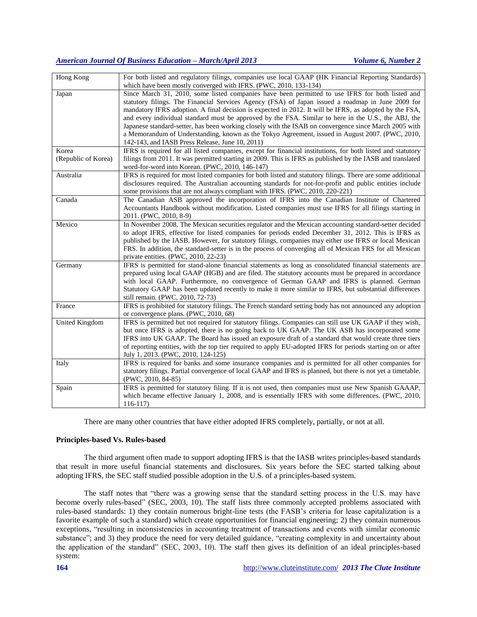| Hong Kong             | For both listed and regulatory filings, companies use local GAAP (HK Financial Reporting Standards)<br>which have been mostly converged with IFRS. (PWC, 2010, 133-134) |
|-----------------------|-------------------------------------------------------------------------------------------------------------------------------------------------------------------------|
| Japan                 | Since March 31, 2010, some listed companies have been permitted to use IFRS for both listed and                                                                         |
|                       | statutory filings. The Financial Services Agency (FSA) of Japan issued a roadmap in June 2009 for                                                                       |
|                       | mandatory IFRS adoption. A final decision is expected in 2012. It will be IFRS, as adopted by the FSA,                                                                  |
|                       |                                                                                                                                                                         |
|                       | and every individual standard must be approved by the FSA. Similar to here in the U.S., the ABJ, the                                                                    |
|                       | Japanese standard-setter, has been working closely with the ISAB on convergence since March 2005 with                                                                   |
|                       | a Memorandum of Understanding, known as the Tokyo Agreement, issued in August 2007. (PWC, 2010,                                                                         |
|                       | 142-143, and IASB Press Release, June 10, 2011)                                                                                                                         |
| Korea                 | IFRS is required for all listed companies, except for financial institutions, for both listed and statutory                                                             |
| (Republic of Korea)   | filings from 2011. It was permitted starting in 2009. This is IFRS as published by the IASB and translated                                                              |
|                       | word-for-word into Korean. (PWC, 2010, 146-147)                                                                                                                         |
| Australia             | IFRS is required for most listed companies for both listed and statutory filings. There are some additional                                                             |
|                       | disclosures required. The Australian accounting standards for not-for-profit and public entities include                                                                |
|                       | some provisions that are not always compliant with IFRS. (PWC, 2010, 220-221)                                                                                           |
| Canada                | The Canadian ASB approved the incorporation of IFRS into the Canadian Institute of Chartered                                                                            |
|                       | Accountants Handbook without modification. Listed companies must use IFRS for all filings starting in                                                                   |
|                       | 2011. (PWC, 2010, 8-9)                                                                                                                                                  |
| Mexico                | In November 2008, The Mexican securities regulator and the Mexican accounting standard-setter decided                                                                   |
|                       | to adopt IFRS, effective for listed companies for periods ended December 31, 2012. This is IFRS as                                                                      |
|                       | published by the IASB. However, for statutory filings, companies may either use IFRS or local Mexican                                                                   |
|                       |                                                                                                                                                                         |
|                       | FRS. In addition, the standard-setter is in the process of converging all of Mexican FRS for all Mexican                                                                |
|                       | private entities. (PWC, 2010, 22-23)                                                                                                                                    |
| Germany               | IFRS is permitted for stand-alone financial statements as long as consolidated financial statements are                                                                 |
|                       | prepared using local GAAP (HGB) and are filed. The statutory accounts must be prepared in accordance                                                                    |
|                       | with local GAAP. Furthermore, no convergence of German GAAP and IFRS is planned. German                                                                                 |
|                       | Statutory GAAP has been updated recently to make it more similar to IFRS, but substantial differences                                                                   |
|                       | still remain. (PWC, 2010, 72-73)                                                                                                                                        |
| France                | IFRS is prohibited for statutory filings. The French standard setting body has not announced any adoption                                                               |
|                       | or convergence plans. (PWC, 2010, 68)                                                                                                                                   |
| <b>United Kingdom</b> | IFRS is permitted but not required for statutory filings. Companies can still use UK GAAP if they wish,                                                                 |
|                       | but once IFRS is adopted, there is no going back to UK GAAP. The UK ASB has incorporated some                                                                           |
|                       | IFRS into UK GAAP. The Board has issued an exposure draft of a standard that would create three tiers                                                                   |
|                       | of reporting entities, with the top tier required to apply EU-adopted IFRS for periods starting on or after                                                             |
|                       | July 1, 2013. (PWC, 2010, 124-125)                                                                                                                                      |
| Italy                 | IFRS is required for banks and some insurance companies and is permitted for all other companies for                                                                    |
|                       | statutory filings. Partial convergence of local GAAP and IFRS is planned, but there is not yet a timetable.                                                             |
|                       | $(PWC, 2010, 84-85)$                                                                                                                                                    |
| Spain                 | IFRS is permitted for statutory filing. If it is not used, then companies must use New Spanish GAAAP,                                                                   |
|                       | which became effective January 1, 2008, and is essentially IFRS with some differences. (PWC, 2010,                                                                      |
|                       | $116-117$                                                                                                                                                               |
|                       |                                                                                                                                                                         |

There are many other countries that have either adopted IFRS completely, partially, or not at all.

#### **Principles-based Vs. Rules-based**

The third argument often made to support adopting IFRS is that the IASB writes principles-based standards that result in more useful financial statements and disclosures. Six years before the SEC started talking about adopting IFRS, the SEC staff studied possible adoption in the U.S. of a principles-based system.

The staff notes that "there was a growing sense that the standard setting process in the U.S. may have become overly rules-based" (SEC, 2003, 10). The staff lists three commonly accepted problems associated with rules-based standards: 1) they contain numerous bright-line tests (the FASB's criteria for lease capitalization is a favorite example of such a standard) which create opportunities for financial engineering; 2) they contain numerous exceptions, "resulting in inconsistencies in accounting treatment of transactions and events with similar economic substance"; and 3) they produce the need for very detailed guidance, "creating complexity in and uncertainty about the application of the standard" (SEC, 2003, 10). The staff then gives its definition of an ideal principles-based system: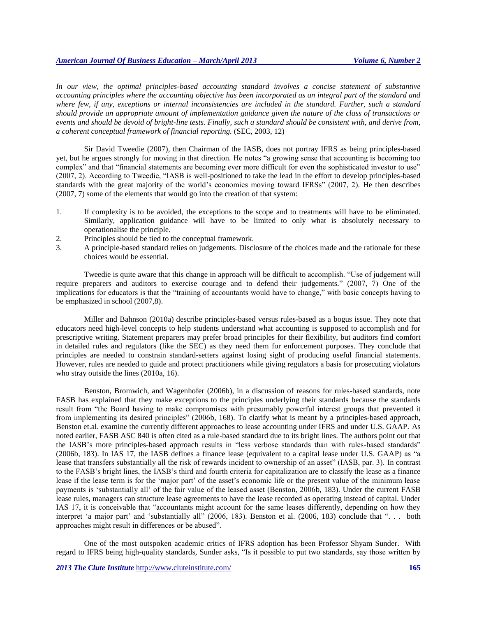*In our view, the optimal principles-based accounting standard involves a concise statement of substantive accounting principles where the accounting objective has been incorporated as an integral part of the standard and where few, if any, exceptions or internal inconsistencies are included in the standard. Further, such a standard should provide an appropriate amount of implementation guidance given the nature of the class of transactions or events and should be devoid of bright-line tests. Finally, such a standard should be consistent with, and derive from, a coherent conceptual framework of financial reporting.* (SEC, 2003, 12)

Sir David Tweedie (2007), then Chairman of the IASB, does not portray IFRS as being principles-based yet, but he argues strongly for moving in that direction. He notes "a growing sense that accounting is becoming too complex" and that "financial statements are becoming ever more difficult for even the sophisticated investor to use" (2007, 2). According to Tweedie, "IASB is well-positioned to take the lead in the effort to develop principles-based standards with the great majority of the world's economies moving toward IFRSs" (2007, 2). He then describes (2007, 7) some of the elements that would go into the creation of that system:

- 1. If complexity is to be avoided, the exceptions to the scope and to treatments will have to be eliminated. Similarly, application guidance will have to be limited to only what is absolutely necessary to operationalise the principle.
- 2. Principles should be tied to the conceptual framework.
- 3. A principle-based standard relies on judgements. Disclosure of the choices made and the rationale for these choices would be essential.

Tweedie is quite aware that this change in approach will be difficult to accomplish. "Use of judgement will require preparers and auditors to exercise courage and to defend their judgements." (2007, 7) One of the implications for educators is that the "training of accountants would have to change," with basic concepts having to be emphasized in school (2007,8).

Miller and Bahnson (2010a) describe principles-based versus rules-based as a bogus issue. They note that educators need high-level concepts to help students understand what accounting is supposed to accomplish and for prescriptive writing. Statement preparers may prefer broad principles for their flexibility, but auditors find comfort in detailed rules and regulators (like the SEC) as they need them for enforcement purposes. They conclude that principles are needed to constrain standard-setters against losing sight of producing useful financial statements. However, rules are needed to guide and protect practitioners while giving regulators a basis for prosecuting violators who stray outside the lines (2010a, 16).

Benston, Bromwich, and Wagenhofer (2006b), in a discussion of reasons for rules-based standards, note FASB has explained that they make exceptions to the principles underlying their standards because the standards result from "the Board having to make compromises with presumably powerful interest groups that prevented it from implementing its desired principles" (2006b, 168). To clarify what is meant by a principles-based approach, Benston et.al. examine the currently different approaches to lease accounting under IFRS and under U.S. GAAP. As noted earlier, FASB ASC 840 is often cited as a rule-based standard due to its bright lines. The authors point out that the IASB's more principles-based approach results in "less verbose standards than with rules-based standards" (2006b, 183). In IAS 17, the IASB defines a finance lease (equivalent to a capital lease under U.S. GAAP) as "a lease that transfers substantially all the risk of rewards incident to ownership of an asset" (IASB, par. 3). In contrast to the FASB's bright lines, the IASB's third and fourth criteria for capitalization are to classify the lease as a finance lease if the lease term is for the 'major part' of the asset's economic life or the present value of the minimum lease payments is 'substantially all' of the fair value of the leased asset (Benston, 2006b, 183). Under the current FASB lease rules, managers can structure lease agreements to have the lease recorded as operating instead of capital. Under IAS 17, it is conceivable that "accountants might account for the same leases differently, depending on how they interpret 'a major part' and 'substantially all" (2006, 183). Benston et al. (2006, 183) conclude that ". . . both approaches might result in differences or be abused".

One of the most outspoken academic critics of IFRS adoption has been Professor Shyam Sunder. With regard to IFRS being high-quality standards, Sunder asks, "Is it possible to put two standards, say those written by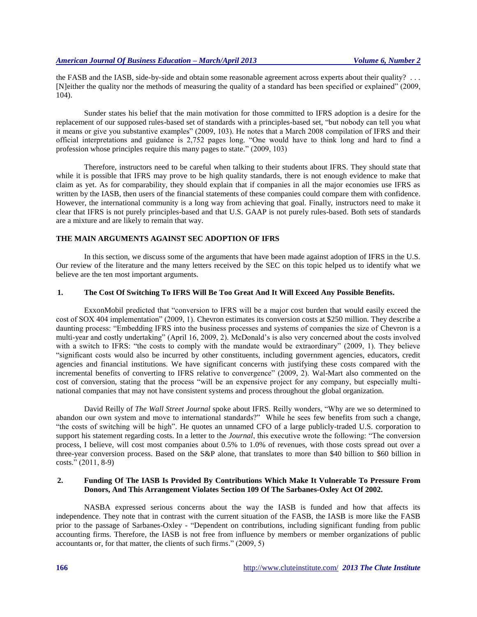the FASB and the IASB, side-by-side and obtain some reasonable agreement across experts about their quality? . . . [N]either the quality nor the methods of measuring the quality of a standard has been specified or explained" (2009, 104).

Sunder states his belief that the main motivation for those committed to IFRS adoption is a desire for the replacement of our supposed rules-based set of standards with a principles-based set, "but nobody can tell you what it means or give you substantive examples" (2009, 103). He notes that a March 2008 compilation of IFRS and their official interpretations and guidance is 2,752 pages long. "One would have to think long and hard to find a profession whose principles require this many pages to state." (2009, 103)

Therefore, instructors need to be careful when talking to their students about IFRS. They should state that while it is possible that IFRS may prove to be high quality standards, there is not enough evidence to make that claim as yet. As for comparability, they should explain that if companies in all the major economies use IFRS as written by the IASB, then users of the financial statements of these companies could compare them with confidence. However, the international community is a long way from achieving that goal. Finally, instructors need to make it clear that IFRS is not purely principles-based and that U.S. GAAP is not purely rules-based. Both sets of standards are a mixture and are likely to remain that way.

#### **THE MAIN ARGUMENTS AGAINST SEC ADOPTION OF IFRS**

In this section, we discuss some of the arguments that have been made against adoption of IFRS in the U.S. Our review of the literature and the many letters received by the SEC on this topic helped us to identify what we believe are the ten most important arguments.

## **1. The Cost Of Switching To IFRS Will Be Too Great And It Will Exceed Any Possible Benefits.**

ExxonMobil predicted that "conversion to IFRS will be a major cost burden that would easily exceed the cost of SOX 404 implementation" (2009, 1). Chevron estimates its conversion costs at \$250 million. They describe a daunting process: "Embedding IFRS into the business processes and systems of companies the size of Chevron is a multi-year and costly undertaking" (April 16, 2009, 2). McDonald's is also very concerned about the costs involved with a switch to IFRS: "the costs to comply with the mandate would be extraordinary" (2009, 1). They believe "significant costs would also be incurred by other constituents, including government agencies, educators, credit agencies and financial institutions. We have significant concerns with justifying these costs compared with the incremental benefits of converting to IFRS relative to convergence" (2009, 2). Wal-Mart also commented on the cost of conversion, stating that the process "will be an expensive project for any company, but especially multinational companies that may not have consistent systems and process throughout the global organization.

David Reilly of *The Wall Street Journal* spoke about IFRS. Reilly wonders, "Why are we so determined to abandon our own system and move to international standards?" While he sees few benefits from such a change, "the costs of switching will be high". He quotes an unnamed CFO of a large publicly-traded U.S. corporation to support his statement regarding costs. In a letter to the *Journal*, this executive wrote the following: "The conversion process, I believe, will cost most companies about 0.5% to 1.0% of revenues, with those costs spread out over a three-year conversion process. Based on the S&P alone, that translates to more than \$40 billion to \$60 billion in costs." (2011, 8-9)

# **2. Funding Of The IASB Is Provided By Contributions Which Make It Vulnerable To Pressure From Donors, And This Arrangement Violates Section 109 Of The Sarbanes-Oxley Act Of 2002.**

NASBA expressed serious concerns about the way the IASB is funded and how that affects its independence. They note that in contrast with the current situation of the FASB, the IASB is more like the FASB prior to the passage of Sarbanes-Oxley - "Dependent on contributions, including significant funding from public accounting firms. Therefore, the IASB is not free from influence by members or member organizations of public accountants or, for that matter, the clients of such firms." (2009, 5)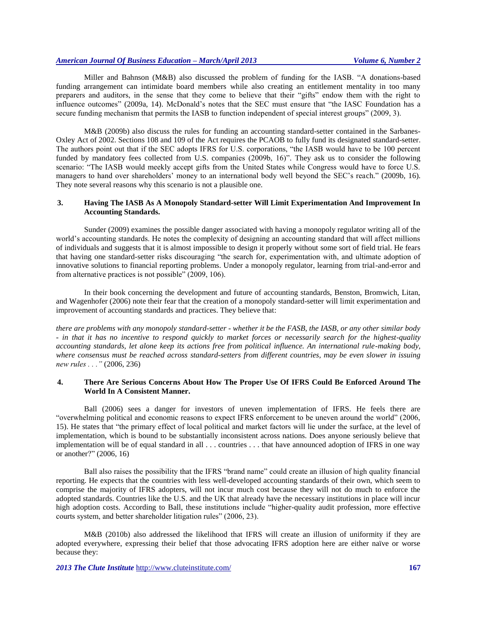Miller and Bahnson (M&B) also discussed the problem of funding for the IASB. "A donations-based funding arrangement can intimidate board members while also creating an entitlement mentality in too many preparers and auditors, in the sense that they come to believe that their "gifts" endow them with the right to influence outcomes" (2009a, 14). McDonald's notes that the SEC must ensure that "the IASC Foundation has a secure funding mechanism that permits the IASB to function independent of special interest groups" (2009, 3).

M&B (2009b) also discuss the rules for funding an accounting standard-setter contained in the Sarbanes-Oxley Act of 2002. Sections 108 and 109 of the Act requires the PCAOB to fully fund its designated standard-setter. The authors point out that if the SEC adopts IFRS for U.S. corporations, "the IASB would have to be 100 percent funded by mandatory fees collected from U.S. companies (2009b, 16)". They ask us to consider the following scenario: "The IASB would meekly accept gifts from the United States while Congress would have to force U.S. managers to hand over shareholders' money to an international body well beyond the SEC's reach." (2009b, 16). They note several reasons why this scenario is not a plausible one.

### **3. Having The IASB As A Monopoly Standard-setter Will Limit Experimentation And Improvement In Accounting Standards.**

Sunder (2009) examines the possible danger associated with having a monopoly regulator writing all of the world's accounting standards. He notes the complexity of designing an accounting standard that will affect millions of individuals and suggests that it is almost impossible to design it properly without some sort of field trial. He fears that having one standard-setter risks discouraging "the search for, experimentation with, and ultimate adoption of innovative solutions to financial reporting problems. Under a monopoly regulator, learning from trial-and-error and from alternative practices is not possible" (2009, 106).

In their book concerning the development and future of accounting standards, Benston, Bromwich, Litan, and Wagenhofer (2006) note their fear that the creation of a monopoly standard-setter will limit experimentation and improvement of accounting standards and practices. They believe that:

*there are problems with any monopoly standard-setter - whether it be the FASB, the IASB, or any other similar body - in that it has no incentive to respond quickly to market forces or necessarily search for the highest-quality accounting standards, let alone keep its actions free from political influence. An international rule-making body, where consensus must be reached across standard-setters from different countries, may be even slower in issuing new rules . . ."* (2006, 236)

# **4. There Are Serious Concerns About How The Proper Use Of IFRS Could Be Enforced Around The World In A Consistent Manner.**

Ball (2006) sees a danger for investors of uneven implementation of IFRS. He feels there are "overwhelming political and economic reasons to expect IFRS enforcement to be uneven around the world" (2006, 15). He states that "the primary effect of local political and market factors will lie under the surface, at the level of implementation, which is bound to be substantially inconsistent across nations. Does anyone seriously believe that implementation will be of equal standard in all ... countries ... that have announced adoption of IFRS in one way or another?" (2006, 16)

Ball also raises the possibility that the IFRS "brand name" could create an illusion of high quality financial reporting. He expects that the countries with less well-developed accounting standards of their own, which seem to comprise the majority of IFRS adopters, will not incur much cost because they will not do much to enforce the adopted standards. Countries like the U.S. and the UK that already have the necessary institutions in place will incur high adoption costs. According to Ball, these institutions include "higher-quality audit profession, more effective courts system, and better shareholder litigation rules" (2006, 23).

M&B (2010b) also addressed the likelihood that IFRS will create an illusion of uniformity if they are adopted everywhere, expressing their belief that those advocating IFRS adoption here are either naïve or worse because they: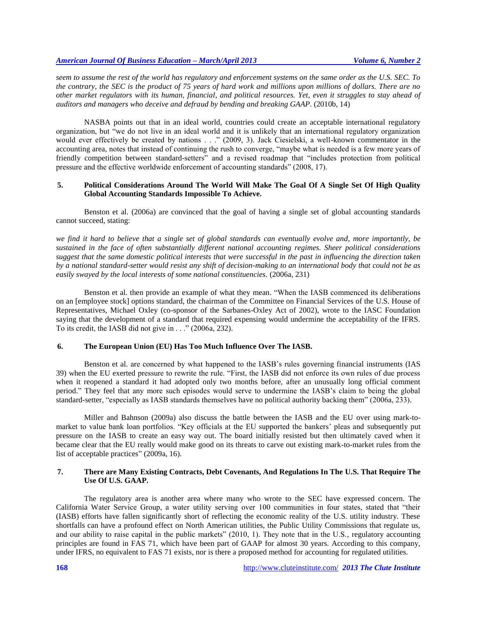*seem to assume the rest of the world has regulatory and enforcement systems on the same order as the U.S. SEC. To the contrary, the SEC is the product of 75 years of hard work and millions upon millions of dollars. There are no other market regulators with its human, financial, and political resources. Yet, even it struggles to stay ahead of auditors and managers who deceive and defraud by bending and breaking GAAP.* (2010b, 14)

NASBA points out that in an ideal world, countries could create an acceptable international regulatory organization, but "we do not live in an ideal world and it is unlikely that an international regulatory organization would ever effectively be created by nations . . ." (2009, 3). Jack Ciesielski, a well-known commentator in the accounting area, notes that instead of continuing the rush to converge, "maybe what is needed is a few more years of friendly competition between standard-setters" and a revised roadmap that "includes protection from political pressure and the effective worldwide enforcement of accounting standards" (2008, 17).

# **5. Political Considerations Around The World Will Make The Goal Of A Single Set Of High Quality Global Accounting Standards Impossible To Achieve.**

Benston et al. (2006a) are convinced that the goal of having a single set of global accounting standards cannot succeed, stating:

*we find it hard to believe that a single set of global standards can eventually evolve and, more importantly, be sustained in the face of often substantially different national accounting regimes. Sheer political considerations suggest that the same domestic political interests that were successful in the past in influencing the direction taken by a national standard-setter would resist any shift of decision-making to an international body that could not be as easily swayed by the local interests of some national constituencies.* (2006a, 231)

Benston et al. then provide an example of what they mean. "When the IASB commenced its deliberations on an [employee stock] options standard, the chairman of the Committee on Financial Services of the U.S. House of Representatives, Michael Oxley (co-sponsor of the Sarbanes-Oxley Act of 2002), wrote to the IASC Foundation saying that the development of a standard that required expensing would undermine the acceptability of the IFRS. To its credit, the IASB did not give in . . ." (2006a, 232).

# **6. The European Union (EU) Has Too Much Influence Over The IASB.**

Benston et al. are concerned by what happened to the IASB's rules governing financial instruments (IAS 39) when the EU exerted pressure to rewrite the rule. "First, the IASB did not enforce its own rules of due process when it reopened a standard it had adopted only two months before, after an unusually long official comment period." They feel that any more such episodes would serve to undermine the IASB's claim to being the global standard-setter, "especially as IASB standards themselves have no political authority backing them" (2006a, 233).

Miller and Bahnson (2009a) also discuss the battle between the IASB and the EU over using mark-tomarket to value bank loan portfolios. "Key officials at the EU supported the bankers' pleas and subsequently put pressure on the IASB to create an easy way out. The board initially resisted but then ultimately caved when it became clear that the EU really would make good on its threats to carve out existing mark-to-market rules from the list of acceptable practices" (2009a, 16).

# **7. There are Many Existing Contracts, Debt Covenants, And Regulations In The U.S. That Require The Use Of U.S. GAAP.**

The regulatory area is another area where many who wrote to the SEC have expressed concern. The California Water Service Group, a water utility serving over 100 communities in four states, stated that "their (IASB) efforts have fallen significantly short of reflecting the economic reality of the U.S. utility industry. These shortfalls can have a profound effect on North American utilities, the Public Utility Commissions that regulate us, and our ability to raise capital in the public markets" (2010, 1). They note that in the U.S., regulatory accounting principles are found in FAS 71, which have been part of GAAP for almost 30 years. According to this company, under IFRS, no equivalent to FAS 71 exists, nor is there a proposed method for accounting for regulated utilities.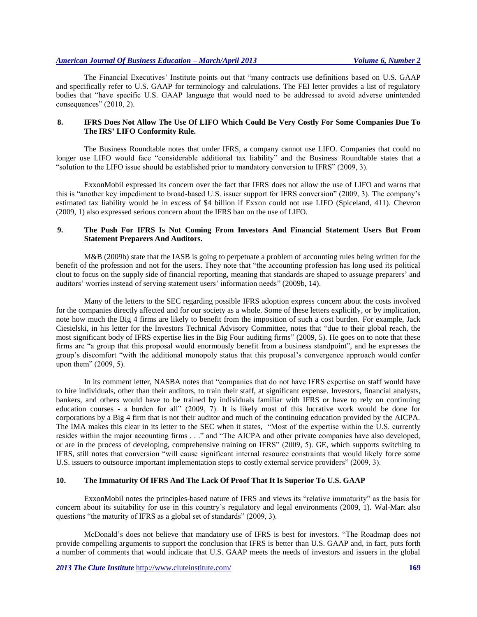The Financial Executives' Institute points out that "many contracts use definitions based on U.S. GAAP and specifically refer to U.S. GAAP for terminology and calculations. The FEI letter provides a list of regulatory bodies that "have specific U.S. GAAP language that would need to be addressed to avoid adverse unintended consequences" (2010, 2).

# **8. IFRS Does Not Allow The Use Of LIFO Which Could Be Very Costly For Some Companies Due To The IRS' LIFO Conformity Rule.**

The Business Roundtable notes that under IFRS, a company cannot use LIFO. Companies that could no longer use LIFO would face "considerable additional tax liability" and the Business Roundtable states that a "solution to the LIFO issue should be established prior to mandatory conversion to IFRS" (2009, 3).

ExxonMobil expressed its concern over the fact that IFRS does not allow the use of LIFO and warns that this is "another key impediment to broad-based U.S. issuer support for IFRS conversion" (2009, 3). The company's estimated tax liability would be in excess of \$4 billion if Exxon could not use LIFO (Spiceland, 411). Chevron (2009, 1) also expressed serious concern about the IFRS ban on the use of LIFO.

# **9. The Push For IFRS Is Not Coming From Investors And Financial Statement Users But From Statement Preparers And Auditors.**

M&B (2009b) state that the IASB is going to perpetuate a problem of accounting rules being written for the benefit of the profession and not for the users. They note that "the accounting profession has long used its political clout to focus on the supply side of financial reporting, meaning that standards are shaped to assuage preparers' and auditors' worries instead of serving statement users' information needs" (2009b, 14).

Many of the letters to the SEC regarding possible IFRS adoption express concern about the costs involved for the companies directly affected and for our society as a whole. Some of these letters explicitly, or by implication, note how much the Big 4 firms are likely to benefit from the imposition of such a cost burden. For example, Jack Ciesielski, in his letter for the Investors Technical Advisory Committee, notes that "due to their global reach, the most significant body of IFRS expertise lies in the Big Four auditing firms" (2009, 5). He goes on to note that these firms are "a group that this proposal would enormously benefit from a business standpoint", and he expresses the group's discomfort "with the additional monopoly status that this proposal's convergence approach would confer upon them" (2009, 5).

In its comment letter, NASBA notes that "companies that do not have IFRS expertise on staff would have to hire individuals, other than their auditors, to train their staff, at significant expense. Investors, financial analysts, bankers, and others would have to be trained by individuals familiar with IFRS or have to rely on continuing education courses - a burden for all" (2009, 7). It is likely most of this lucrative work would be done for corporations by a Big 4 firm that is not their auditor and much of the continuing education provided by the AICPA. The IMA makes this clear in its letter to the SEC when it states, "Most of the expertise within the U.S. currently resides within the major accounting firms . . ." and "The AICPA and other private companies have also developed, or are in the process of developing, comprehensive training on IFRS" (2009, 5). GE, which supports switching to IFRS, still notes that conversion "will cause significant internal resource constraints that would likely force some U.S. issuers to outsource important implementation steps to costly external service providers" (2009, 3).

## **10. The Immaturity Of IFRS And The Lack Of Proof That It Is Superior To U.S. GAAP**

ExxonMobil notes the principles-based nature of IFRS and views its "relative immaturity" as the basis for concern about its suitability for use in this country's regulatory and legal environments (2009, 1). Wal-Mart also questions "the maturity of IFRS as a global set of standards" (2009, 3).

McDonald's does not believe that mandatory use of IFRS is best for investors. "The Roadmap does not provide compelling arguments to support the conclusion that IFRS is better than U.S. GAAP and, in fact, puts forth a number of comments that would indicate that U.S. GAAP meets the needs of investors and issuers in the global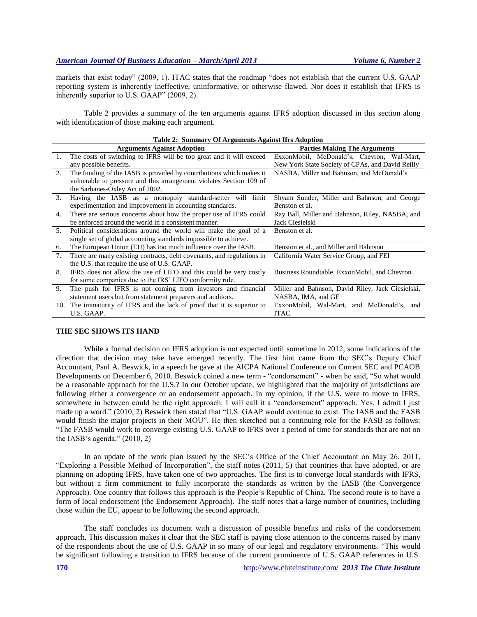markets that exist today" (2009, 1). ITAC states that the roadmap "does not establish that the current U.S. GAAP reporting system is inherently ineffective, uninformative, or otherwise flawed. Nor does it establish that IFRS is inherently superior to U.S. GAAP" (2009, 2).

Table 2 provides a summary of the ten arguments against IFRS adoption discussed in this section along with identification of those making each argument.

|    | Table 2: Summary Of Arguments Against Hrs Adoption                      |                                                   |  |  |  |  |  |
|----|-------------------------------------------------------------------------|---------------------------------------------------|--|--|--|--|--|
|    | <b>Arguments Against Adoption</b>                                       | <b>Parties Making The Arguments</b>               |  |  |  |  |  |
| 1. | The costs of switching to IFRS will be too great and it will exceed     | ExxonMobil, McDonald's, Chevron, Wal-Mart,        |  |  |  |  |  |
|    | any possible benefits.                                                  | New York State Society of CPAs, and David Reilly  |  |  |  |  |  |
| 2. | The funding of the IASB is provided by contributions which makes it     | NASBA, Miller and Bahnson, and McDonald's         |  |  |  |  |  |
|    | vulnerable to pressure and this arrangement violates Section 109 of     |                                                   |  |  |  |  |  |
|    | the Sarbanes-Oxley Act of 2002.                                         |                                                   |  |  |  |  |  |
| 3. | Having the IASB as a monopoly standard-setter will limit                | Shyam Sunder, Miller and Bahnson, and George      |  |  |  |  |  |
|    | experimentation and improvement in accounting standards.                | Benston et al.                                    |  |  |  |  |  |
| 4. | There are serious concerns about how the proper use of IFRS could       | Ray Ball, Miller and Bahnson, Riley, NASBA, and   |  |  |  |  |  |
|    | be enforced around the world in a consistent manner.                    | Jack Ciesielski                                   |  |  |  |  |  |
| 5. | Political considerations around the world will make the goal of a       | Benston et al.                                    |  |  |  |  |  |
|    | single set of global accounting standards impossible to achieve.        |                                                   |  |  |  |  |  |
| 6. | The European Union (EU) has too much influence over the IASB.           | Benston et al., and Miller and Bahnson            |  |  |  |  |  |
| 7. | There are many existing contracts, debt covenants, and regulations in   | California Water Service Group, and FEI           |  |  |  |  |  |
|    | the U.S. that require the use of U.S. GAAP.                             |                                                   |  |  |  |  |  |
| 8. | IFRS does not allow the use of LIFO and this could be very costly       | Business Roundtable, ExxonMobil, and Chevron      |  |  |  |  |  |
|    | for some companies due to the IRS' LIFO conformity rule.                |                                                   |  |  |  |  |  |
| 9. | The push for IFRS is not coming from investors and financial            | Miller and Bahnson, David Riley, Jack Ciesielski, |  |  |  |  |  |
|    | statement users but from statement preparers and auditors.              | NASBA, IMA, and GE                                |  |  |  |  |  |
|    | 10. The immaturity of IFRS and the lack of proof that it is superior to | ExxonMobil, Wal-Mart, and McDonald's, and         |  |  |  |  |  |
|    | U.S. GAAP.                                                              | <b>ITAC</b>                                       |  |  |  |  |  |

|  | <b>Table 2: Summary Of Arguments Against Ifrs Adoption</b> |  |  |  |
|--|------------------------------------------------------------|--|--|--|
|--|------------------------------------------------------------|--|--|--|

#### **THE SEC SHOWS ITS HAND**

While a formal decision on IFRS adoption is not expected until sometime in 2012, some indications of the direction that decision may take have emerged recently. The first hint came from the SEC's Deputy Chief Accountant, Paul A. Beswick, in a speech he gave at the AICPA National Conference on Current SEC and PCAOB Developments on December 6, 2010. Beswick coined a new term - "condorsement" - when he said, "So what would be a reasonable approach for the U.S.? In our October update, we highlighted that the majority of jurisdictions are following either a convergence or an endorsement approach. In my opinion, if the U.S. were to move to IFRS, somewhere in between could be the right approach. I will call it a "condorsement" approach. Yes, I admit I just made up a word." (2010, 2) Beswick then stated that "U.S. GAAP would continue to exist. The IASB and the FASB would finish the major projects in their MOU". He then sketched out a continuing role for the FASB as follows: "The FASB would work to converge existing U.S. GAAP to IFRS over a period of time for standards that are not on the IASB's agenda."  $(2010, 2)$ 

In an update of the work plan issued by the SEC's Office of the Chief Accountant on May 26, 2011, "Exploring a Possible Method of Incorporation", the staff notes (2011, 5) that countries that have adopted, or are planning on adopting IFRS, have taken one of two approaches. The first is to converge local standards with IFRS, but without a firm commitment to fully incorporate the standards as written by the IASB (the Convergence Approach). One country that follows this approach is the People's Republic of China. The second route is to have a form of local endorsement (the Endorsement Approach). The staff notes that a large number of countries, including those within the EU, appear to be following the second approach.

The staff concludes its document with a discussion of possible benefits and risks of the condorsement approach. This discussion makes it clear that the SEC staff is paying close attention to the concerns raised by many of the respondents about the use of U.S. GAAP in so many of our legal and regulatory environments. "This would be significant following a transition to IFRS because of the current prominence of U.S. GAAP references in U.S.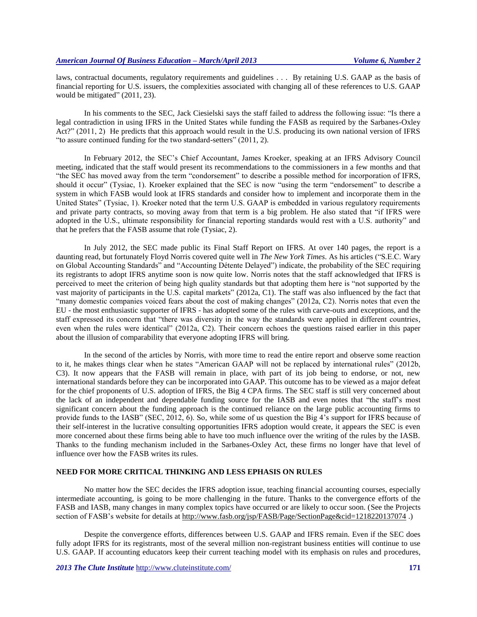laws, contractual documents, regulatory requirements and guidelines . . . By retaining U.S. GAAP as the basis of financial reporting for U.S. issuers, the complexities associated with changing all of these references to U.S. GAAP would be mitigated" (2011, 23).

In his comments to the SEC, Jack Ciesielski says the staff failed to address the following issue: "Is there a legal contradiction in using IFRS in the United States while funding the FASB as required by the Sarbanes-Oxley Act?" (2011, 2) He predicts that this approach would result in the U.S. producing its own national version of IFRS "to assure continued funding for the two standard-setters" (2011, 2).

In February 2012, the SEC's Chief Accountant, James Kroeker, speaking at an IFRS Advisory Council meeting, indicated that the staff would present its recommendations to the commissioners in a few months and that "the SEC has moved away from the term "condorsement" to describe a possible method for incorporation of IFRS, should it occur" (Tysiac, 1). Kroeker explained that the SEC is now "using the term "endorsement" to describe a system in which FASB would look at IFRS standards and consider how to implement and incorporate them in the United States" (Tysiac, 1). Kroeker noted that the term U.S. GAAP is embedded in various regulatory requirements and private party contracts, so moving away from that term is a big problem. He also stated that "if IFRS were adopted in the U.S., ultimate responsibility for financial reporting standards would rest with a U.S. authority" and that he prefers that the FASB assume that role (Tysiac, 2).

In July 2012, the SEC made public its Final Staff Report on IFRS. At over 140 pages, the report is a daunting read, but fortunately Floyd Norris covered quite well in *The New York Times*. As his articles ("S.E.C. Wary on Global Accounting Standards" and "Accounting Détente Delayed") indicate, the probability of the SEC requiring its registrants to adopt IFRS anytime soon is now quite low. Norris notes that the staff acknowledged that IFRS is perceived to meet the criterion of being high quality standards but that adopting them here is "not supported by the vast majority of participants in the U.S. capital markets" (2012a, C1). The staff was also influenced by the fact that "many domestic companies voiced fears about the cost of making changes" (2012a, C2). Norris notes that even the EU - the most enthusiastic supporter of IFRS - has adopted some of the rules with carve-outs and exceptions, and the staff expressed its concern that "there was diversity in the way the standards were applied in different countries, even when the rules were identical" (2012a, C2). Their concern echoes the questions raised earlier in this paper about the illusion of comparability that everyone adopting IFRS will bring.

In the second of the articles by Norris, with more time to read the entire report and observe some reaction to it, he makes things clear when he states "American GAAP will not be replaced by international rules" (2012b, C3). It now appears that the FASB will remain in place, with part of its job being to endorse, or not, new international standards before they can be incorporated into GAAP. This outcome has to be viewed as a major defeat for the chief proponents of U.S. adoption of IFRS, the Big 4 CPA firms. The SEC staff is still very concerned about the lack of an independent and dependable funding source for the IASB and even notes that "the staff's most significant concern about the funding approach is the continued reliance on the large public accounting firms to provide funds to the IASB" (SEC, 2012, 6). So, while some of us question the Big 4's support for IFRS because of their self-interest in the lucrative consulting opportunities IFRS adoption would create, it appears the SEC is even more concerned about these firms being able to have too much influence over the writing of the rules by the IASB. Thanks to the funding mechanism included in the Sarbanes-Oxley Act, these firms no longer have that level of influence over how the FASB writes its rules.

# **NEED FOR MORE CRITICAL THINKING AND LESS EPHASIS ON RULES**

No matter how the SEC decides the IFRS adoption issue, teaching financial accounting courses, especially intermediate accounting, is going to be more challenging in the future. Thanks to the convergence efforts of the FASB and IASB, many changes in many complex topics have occurred or are likely to occur soon. (See the Projects section of FASB's website for details at<http://www.fasb.org/jsp/FASB/Page/SectionPage&cid=1218220137074>.)

Despite the convergence efforts, differences between U.S. GAAP and IFRS remain. Even if the SEC does fully adopt IFRS for its registrants, most of the several million non-registrant business entities will continue to use U.S. GAAP. If accounting educators keep their current teaching model with its emphasis on rules and procedures,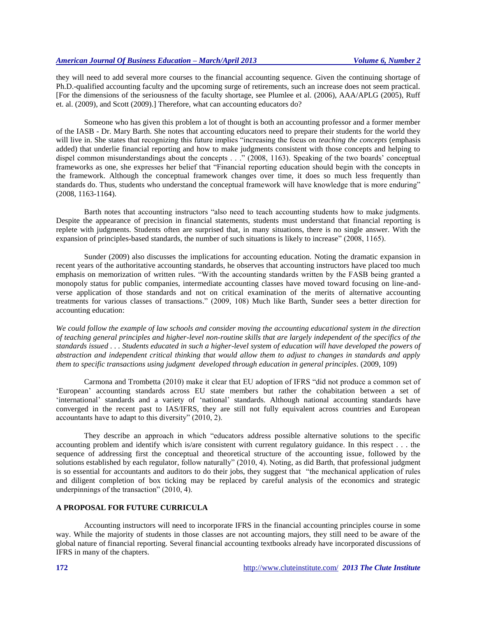they will need to add several more courses to the financial accounting sequence. Given the continuing shortage of Ph.D.-qualified accounting faculty and the upcoming surge of retirements, such an increase does not seem practical. [For the dimensions of the seriousness of the faculty shortage, see Plumlee et al. (2006), AAA/APLG (2005), Ruff et. al. (2009), and Scott (2009).] Therefore, what can accounting educators do?

Someone who has given this problem a lot of thought is both an accounting professor and a former member of the IASB - Dr. Mary Barth. She notes that accounting educators need to prepare their students for the world they will live in. She states that recognizing this future implies "increasing the focus on *teaching the concepts* (emphasis added) that underlie financial reporting and how to make judgments consistent with those concepts and helping to dispel common misunderstandings about the concepts . . ." (2008, 1163). Speaking of the two boards' conceptual frameworks as one, she expresses her belief that "Financial reporting education should begin with the concepts in the framework. Although the conceptual framework changes over time, it does so much less frequently than standards do. Thus, students who understand the conceptual framework will have knowledge that is more enduring" (2008, 1163-1164).

Barth notes that accounting instructors "also need to teach accounting students how to make judgments. Despite the appearance of precision in financial statements, students must understand that financial reporting is replete with judgments. Students often are surprised that, in many situations, there is no single answer. With the expansion of principles-based standards, the number of such situations is likely to increase" (2008, 1165).

Sunder (2009) also discusses the implications for accounting education. Noting the dramatic expansion in recent years of the authoritative accounting standards, he observes that accounting instructors have placed too much emphasis on memorization of written rules. "With the accounting standards written by the FASB being granted a monopoly status for public companies, intermediate accounting classes have moved toward focusing on line-andverse application of those standards and not on critical examination of the merits of alternative accounting treatments for various classes of transactions." (2009, 108) Much like Barth, Sunder sees a better direction for accounting education:

*We could follow the example of law schools and consider moving the accounting educational system in the direction of teaching general principles and higher-level non-routine skills that are largely independent of the specifics of the standards issued . . . Students educated in such a higher-level system of education will have developed the powers of abstraction and independent critical thinking that would allow them to adjust to changes in standards and apply them to specific transactions using judgment developed through education in general principles.* (2009, 109)

Carmona and Trombetta (2010) make it clear that EU adoption of IFRS "did not produce a common set of 'European' accounting standards across EU state members but rather the cohabitation between a set of 'international' standards and a variety of 'national' standards. Although national accounting standards have converged in the recent past to IAS/IFRS, they are still not fully equivalent across countries and European accountants have to adapt to this diversity" (2010, 2).

They describe an approach in which "educators address possible alternative solutions to the specific accounting problem and identify which is/are consistent with current regulatory guidance. In this respect . . . the sequence of addressing first the conceptual and theoretical structure of the accounting issue, followed by the solutions established by each regulator, follow naturally" (2010, 4). Noting, as did Barth, that professional judgment is so essential for accountants and auditors to do their jobs, they suggest that "the mechanical application of rules and diligent completion of box ticking may be replaced by careful analysis of the economics and strategic underpinnings of the transaction" (2010, 4).

## **A PROPOSAL FOR FUTURE CURRICULA**

Accounting instructors will need to incorporate IFRS in the financial accounting principles course in some way. While the majority of students in those classes are not accounting majors, they still need to be aware of the global nature of financial reporting. Several financial accounting textbooks already have incorporated discussions of IFRS in many of the chapters.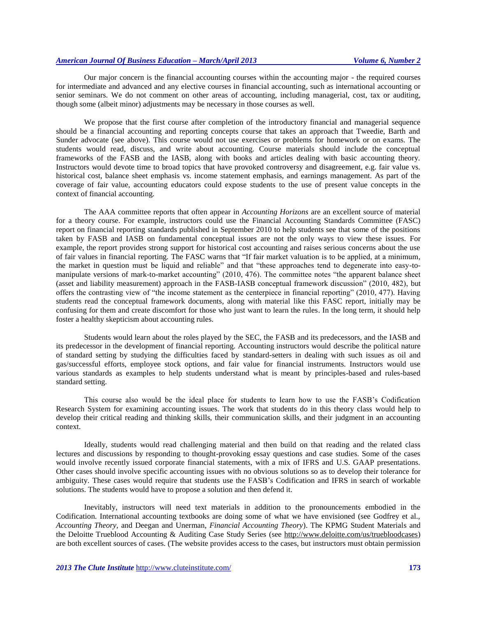Our major concern is the financial accounting courses within the accounting major - the required courses for intermediate and advanced and any elective courses in financial accounting, such as international accounting or senior seminars. We do not comment on other areas of accounting, including managerial, cost, tax or auditing, though some (albeit minor) adjustments may be necessary in those courses as well.

We propose that the first course after completion of the introductory financial and managerial sequence should be a financial accounting and reporting concepts course that takes an approach that Tweedie, Barth and Sunder advocate (see above). This course would not use exercises or problems for homework or on exams. The students would read, discuss, and write about accounting. Course materials should include the conceptual frameworks of the FASB and the IASB, along with books and articles dealing with basic accounting theory. Instructors would devote time to broad topics that have provoked controversy and disagreement, e.g. fair value vs. historical cost, balance sheet emphasis vs. income statement emphasis, and earnings management. As part of the coverage of fair value, accounting educators could expose students to the use of present value concepts in the context of financial accounting.

The AAA committee reports that often appear in *Accounting Horizons* are an excellent source of material for a theory course. For example, instructors could use the Financial Accounting Standards Committee (FASC) report on financial reporting standards published in September 2010 to help students see that some of the positions taken by FASB and IASB on fundamental conceptual issues are not the only ways to view these issues. For example, the report provides strong support for historical cost accounting and raises serious concerns about the use of fair values in financial reporting. The FASC warns that "If fair market valuation is to be applied, at a minimum, the market in question must be liquid and reliable" and that "these approaches tend to degenerate into easy-tomanipulate versions of mark-to-market accounting" (2010, 476). The committee notes "the apparent balance sheet (asset and liability measurement) approach in the FASB-IASB conceptual framework discussion" (2010, 482), but offers the contrasting view of "the income statement as the centerpiece in financial reporting" (2010, 477). Having students read the conceptual framework documents, along with material like this FASC report, initially may be confusing for them and create discomfort for those who just want to learn the rules. In the long term, it should help foster a healthy skepticism about accounting rules.

Students would learn about the roles played by the SEC, the FASB and its predecessors, and the IASB and its predecessor in the development of financial reporting. Accounting instructors would describe the political nature of standard setting by studying the difficulties faced by standard-setters in dealing with such issues as oil and gas/successful efforts, employee stock options, and fair value for financial instruments. Instructors would use various standards as examples to help students understand what is meant by principles-based and rules-based standard setting.

This course also would be the ideal place for students to learn how to use the FASB's Codification Research System for examining accounting issues. The work that students do in this theory class would help to develop their critical reading and thinking skills, their communication skills, and their judgment in an accounting context.

Ideally, students would read challenging material and then build on that reading and the related class lectures and discussions by responding to thought-provoking essay questions and case studies. Some of the cases would involve recently issued corporate financial statements, with a mix of IFRS and U.S. GAAP presentations. Other cases should involve specific accounting issues with no obvious solutions so as to develop their tolerance for ambiguity. These cases would require that students use the FASB's Codification and IFRS in search of workable solutions. The students would have to propose a solution and then defend it.

Inevitably, instructors will need text materials in addition to the pronouncements embodied in the Codification. International accounting textbooks are doing some of what we have envisioned (see Godfrey et al., *Accounting Theory,* and Deegan and Unerman, *Financial Accounting Theory*). The KPMG Student Materials and the Deloitte Trueblood Accounting & Auditing Case Study Series (see [http://www.deloitte.com/us/truebloodcases\)](http://www.deloitte.com/us/truebloodcases) are both excellent sources of cases. (The website provides access to the cases, but instructors must obtain permission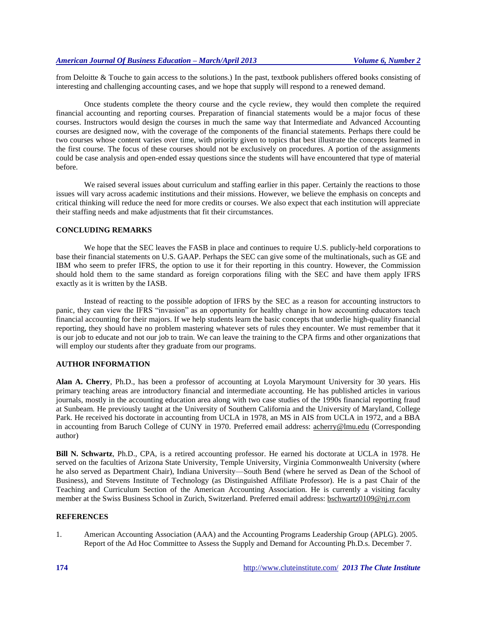from Deloitte & Touche to gain access to the solutions.) In the past, textbook publishers offered books consisting of interesting and challenging accounting cases, and we hope that supply will respond to a renewed demand.

Once students complete the theory course and the cycle review, they would then complete the required financial accounting and reporting courses. Preparation of financial statements would be a major focus of these courses. Instructors would design the courses in much the same way that Intermediate and Advanced Accounting courses are designed now, with the coverage of the components of the financial statements. Perhaps there could be two courses whose content varies over time, with priority given to topics that best illustrate the concepts learned in the first course. The focus of these courses should not be exclusively on procedures. A portion of the assignments could be case analysis and open-ended essay questions since the students will have encountered that type of material before.

We raised several issues about curriculum and staffing earlier in this paper. Certainly the reactions to those issues will vary across academic institutions and their missions. However, we believe the emphasis on concepts and critical thinking will reduce the need for more credits or courses. We also expect that each institution will appreciate their staffing needs and make adjustments that fit their circumstances.

# **CONCLUDING REMARKS**

We hope that the SEC leaves the FASB in place and continues to require U.S. publicly-held corporations to base their financial statements on U.S. GAAP. Perhaps the SEC can give some of the multinationals, such as GE and IBM who seem to prefer IFRS, the option to use it for their reporting in this country. However, the Commission should hold them to the same standard as foreign corporations filing with the SEC and have them apply IFRS exactly as it is written by the IASB.

Instead of reacting to the possible adoption of IFRS by the SEC as a reason for accounting instructors to panic, they can view the IFRS "invasion" as an opportunity for healthy change in how accounting educators teach financial accounting for their majors. If we help students learn the basic concepts that underlie high-quality financial reporting, they should have no problem mastering whatever sets of rules they encounter. We must remember that it is our job to educate and not our job to train. We can leave the training to the CPA firms and other organizations that will employ our students after they graduate from our programs.

## **AUTHOR INFORMATION**

**Alan A. Cherry**, Ph.D., has been a professor of accounting at Loyola Marymount University for 30 years. His primary teaching areas are introductory financial and intermediate accounting. He has published articles in various journals, mostly in the accounting education area along with two case studies of the 1990s financial reporting fraud at Sunbeam. He previously taught at the University of Southern California and the University of Maryland, College Park. He received his doctorate in accounting from UCLA in 1978, an MS in AIS from UCLA in 1972, and a BBA in accounting from Baruch College of CUNY in 1970. Preferred email address: [acherry@lmu.edu](mailto:acherry@lmu.edu) (Corresponding author)

**Bill N. Schwartz**, Ph.D., CPA, is a retired accounting professor. He earned his doctorate at UCLA in 1978. He served on the faculties of Arizona State University, Temple University, Virginia Commonwealth University (where he also served as Department Chair), Indiana University—South Bend (where he served as Dean of the School of Business), and Stevens Institute of Technology (as Distinguished Affiliate Professor). He is a past Chair of the Teaching and Curriculum Section of the American Accounting Association. He is currently a visiting faculty member at the Swiss Business School in Zurich, Switzerland. Preferred email address: [bschwartz0109@nj.rr.com](mailto:bschwartz0109@nj.rr.com)

#### **REFERENCES**

1. American Accounting Association (AAA) and the Accounting Programs Leadership Group (APLG). 2005. Report of the Ad Hoc Committee to Assess the Supply and Demand for Accounting Ph.D.s. December 7.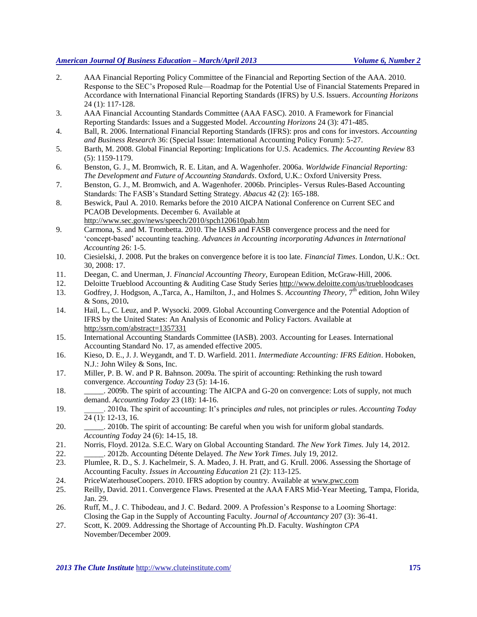- 2. AAA Financial Reporting Policy Committee of the Financial and Reporting Section of the AAA. 2010. Response to the SEC's Proposed Rule—Roadmap for the Potential Use of Financial Statements Prepared in Accordance with International Financial Reporting Standards (IFRS) by U.S. Issuers. *Accounting Horizons* 24 (1): 117-128.
- 3. AAA Financial Accounting Standards Committee (AAA FASC). 2010. A Framework for Financial Reporting Standards: Issues and a Suggested Model. *Accounting Horizons* 24 (3): 471-485.
- 4. Ball, R. 2006. International Financial Reporting Standards (IFRS): pros and cons for investors. *Accounting and Business Research* 36: (Special Issue: International Accounting Policy Forum): 5-27.
- 5. Barth, M. 2008. Global Financial Reporting: Implications for U.S. Academics. *The Accounting Review* 83 (5): 1159-1179.
- 6. Benston, G. J., M. Bromwich, R. E. Litan, and A. Wagenhofer. 2006a. *Worldwide Financial Reporting: The Development and Future of Accounting Standards*. Oxford, U.K.: Oxford University Press.
- 7. Benston, G. J., M. Bromwich, and A. Wagenhofer. 2006b. Principles- Versus Rules-Based Accounting Standards: The FASB's Standard Setting Strategy. *Abacus* 42 (2): 165-188.
- 8. Beswick, Paul A. 2010. Remarks before the 2010 AICPA National Conference on Current SEC and PCAOB Developments. December 6. Available at <http://www.sec.gov/news/speech/2010/spch120610pab.htm>
- 9. Carmona, S. and M. Trombetta. 2010. The IASB and FASB convergence process and the need for 'concept-based' accounting teaching. *Advances in Accounting incorporating Advances in International Accounting* 26: 1-5.
- 10. Ciesielski, J. 2008. Put the brakes on convergence before it is too late. *Financial Times*. London, U.K.: Oct. 30, 2008: 17.
- 11. Deegan, C. and Unerman, J. *Financial Accounting Theory*, European Edition, McGraw-Hill, 2006.
- 12. Deloitte Trueblood Accounting & Auditing Case Study Series<http://www.deloitte.com/us/truebloodcases>
- 13. Godfrey, J. Hodgson, A.,Tarca, A., Hamilton, J., and Holmes S. *Accounting Theory*, 7<sup>th</sup> edition, John Wiley & Sons, 2010**.**
- 14. Hail, L., C. Leuz, and P. Wysocki. 2009. Global Accounting Convergence and the Potential Adoption of IFRS by the United States: An Analysis of Economic and Policy Factors. Available at http:/ssrn.com/abstract=1357331
- 15. International Accounting Standards Committee (IASB). 2003. Accounting for Leases. International Accounting Standard No. 17, as amended effective 2005.
- 16. Kieso, D. E., J. J. Weygandt, and T. D. Warfield. 2011. *Intermediate Accounting: IFRS Edition*. Hoboken, N.J.: John Wiley & Sons, Inc.
- 17. Miller, P. B. W. and P R. Bahnson. 2009a. The spirit of accounting: Rethinking the rush toward convergence. *Accounting Today* 23 (5): 14-16.
- 18. \_\_\_\_\_. 2009b. The spirit of accounting: The AICPA and G-20 on convergence: Lots of supply, not much demand. *Accounting Today* 23 (18): 14-16.
- 19. \_\_\_\_\_. 2010a. The spirit of accounting: It's principles *and* rules, not principles *or* rules. *Accounting Today* 24 (1): 12-13, 16.
- 20. \_\_\_\_\_. 2010b. The spirit of accounting: Be careful when you wish for uniform global standards. *Accounting Today* 24 (6): 14-15, 18.
- 21. Norris, Floyd. 2012a. S.E.C. Wary on Global Accounting Standard. *The New York Times*. July 14, 2012. 22. \_\_\_\_\_. 2012b. Accounting Détente Delayed. *The New York Times*. July 19, 2012.
- 23. Plumlee, R. D., S. J. Kachelmeir, S. A. Madeo, J. H. Pratt, and G. Krull. 2006. Assessing the Shortage of Accounting Faculty. *Issues in Accounting Education* 21 (2): 113-125.
- 24. PriceWaterhouseCoopers. 2010. IFRS adoption by country. Available at [www.pwc.com](http://www.pwc.com/)
- 25. Reilly, David. 2011. Convergence Flaws. Presented at the AAA FARS Mid-Year Meeting, Tampa, Florida, Jan. 29.
- 26. Ruff, M., J. C. Thibodeau, and J. C. Bedard. 2009. A Profession's Response to a Looming Shortage: Closing the Gap in the Supply of Accounting Faculty. *Journal of Accountancy* 207 (3): 36-41.
- 27. Scott, K. 2009. Addressing the Shortage of Accounting Ph.D. Faculty. *Washington CPA* November/December 2009.